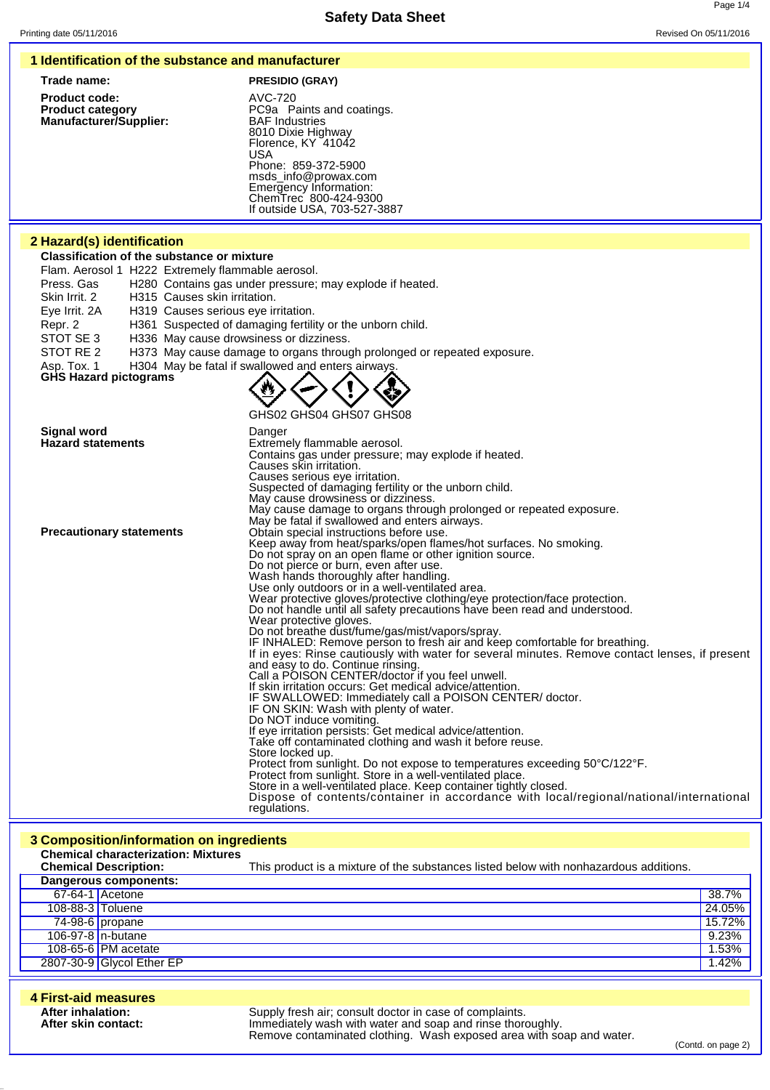| 1 Identification of the substance and manufacturer                                                                                                                       |                                                                                                                                                         |                 |
|--------------------------------------------------------------------------------------------------------------------------------------------------------------------------|---------------------------------------------------------------------------------------------------------------------------------------------------------|-----------------|
| Trade name:                                                                                                                                                              | <b>PRESIDIO (GRAY)</b>                                                                                                                                  |                 |
| <b>Product code:</b><br><b>Product category</b><br>Manufacturer/Supplier:                                                                                                | AVC-720<br>PC9a Paints and coatings.<br><b>BAF</b> Industries<br>8010 Dixie Highway<br>Florence, KY 41042                                               |                 |
|                                                                                                                                                                          | <b>USA</b><br>Phone: 859-372-5900<br>msds_info@prowax.com<br>Emergency Information:<br>ChemTrec 800-424-9300                                            |                 |
|                                                                                                                                                                          | If outside USA, 703-527-3887                                                                                                                            |                 |
| 2 Hazard(s) identification                                                                                                                                               |                                                                                                                                                         |                 |
| <b>Classification of the substance or mixture</b>                                                                                                                        |                                                                                                                                                         |                 |
| Flam. Aerosol 1 H222 Extremely flammable aerosol.<br>Press. Gas<br>Skin Irrit, 2<br>H315 Causes skin irritation.<br>Eye Irrit. 2A<br>H319 Causes serious eye irritation. | H280 Contains gas under pressure; may explode if heated.                                                                                                |                 |
| Repr. 2<br>H336 May cause drowsiness or dizziness.<br>STOT SE 3                                                                                                          | H361 Suspected of damaging fertility or the unborn child.                                                                                               |                 |
| STOT RE 2<br>Asp. Tox. 1                                                                                                                                                 | H373 May cause damage to organs through prolonged or repeated exposure.<br>H304 May be fatal if swallowed and enters airways.                           |                 |
| <b>GHS Hazard pictograms</b>                                                                                                                                             |                                                                                                                                                         |                 |
|                                                                                                                                                                          | GHS02 GHS04 GHS07 GHS08                                                                                                                                 |                 |
| <b>Signal word</b><br><b>Hazard statements</b>                                                                                                                           | Danger                                                                                                                                                  |                 |
|                                                                                                                                                                          | Extremely flammable aerosol.<br>Contains gas under pressure; may explode if heated.                                                                     |                 |
|                                                                                                                                                                          | Causes skin irritation.<br>Causes serious eye irritation.                                                                                               |                 |
|                                                                                                                                                                          | Suspected of damaging fertility or the unborn child.<br>May cause drowsiness or dizziness.                                                              |                 |
|                                                                                                                                                                          | May cause damage to organs through prolonged or repeated exposure.<br>May be fatal if swallowed and enters airways.                                     |                 |
| <b>Precautionary statements</b>                                                                                                                                          | Obtain special instructions before use.<br>Keep away from heat/sparks/open flames/hot surfaces. No smoking.                                             |                 |
|                                                                                                                                                                          | Do not spray on an open flame or other ignition source.<br>Do not pierce or burn, even after use.                                                       |                 |
|                                                                                                                                                                          | Wash hands thoroughly after handling.<br>Use only outdoors or in a well-ventilated area.                                                                |                 |
|                                                                                                                                                                          | Wear protective gloves/protective clothing/eye protection/face protection.<br>Do not handle until all safety precautions have been read and understood. |                 |
|                                                                                                                                                                          | Wear protective gloves.                                                                                                                                 |                 |
|                                                                                                                                                                          | Do not breathe dust/fume/gas/mist/vapors/spray.<br>IF INHALED: Remove person to fresh air and keep comfortable for breathing.                           |                 |
|                                                                                                                                                                          | If in eyes: Rinse cautiously with water for several minutes. Remove contact lenses, if present<br>and easy to do. Continue rinsing.                     |                 |
|                                                                                                                                                                          | Call a POISON CENTER/doctor if you feel unwell.<br>If skin irritation occurs: Get medical advice/attention.                                             |                 |
|                                                                                                                                                                          | IF SWALLOWED: Immediately call a POISON CENTER/ doctor.<br>IF ON SKIN: Wash with plenty of water.                                                       |                 |
|                                                                                                                                                                          | Do NOT induce vomiting.<br>If eye irritation persists: Get medical advice/attention.                                                                    |                 |
|                                                                                                                                                                          | Take off contaminated clothing and wash it before reuse.                                                                                                |                 |
|                                                                                                                                                                          | Store locked up.<br>Protect from sunlight. Do not expose to temperatures exceeding 50°C/122°F.                                                          |                 |
|                                                                                                                                                                          | Protect from sunlight. Store in a well-ventilated place.<br>Store in a well-ventilated place. Keep container tightly closed.                            |                 |
|                                                                                                                                                                          | Dispose of contents/container in accordance with local/regional/national/international<br>regulations.                                                  |                 |
| 3 Composition/information on ingredients                                                                                                                                 |                                                                                                                                                         |                 |
| <b>Chemical characterization: Mixtures</b>                                                                                                                               |                                                                                                                                                         |                 |
| <b>Chemical Description:</b><br>Dangerous components:                                                                                                                    | This product is a mixture of the substances listed below with nonhazardous additions.                                                                   |                 |
| $67-64-1$ Acetone                                                                                                                                                        |                                                                                                                                                         | 38.7%           |
| 108-88-3 Toluene                                                                                                                                                         |                                                                                                                                                         | 24.05%          |
| 74-98-6 propane<br>106-97-8 n-butane                                                                                                                                     |                                                                                                                                                         | 15.72%<br>9.23% |
| 108-65-6 PM acetate                                                                                                                                                      |                                                                                                                                                         | 1.53%           |
| 2807-30-9 Glycol Ether EP                                                                                                                                                |                                                                                                                                                         | 1.42%           |

| 4 First-aid measures                     |                                                                                                                                                                                               |
|------------------------------------------|-----------------------------------------------------------------------------------------------------------------------------------------------------------------------------------------------|
| After inhalation:<br>After skin contact: | Supply fresh air; consult doctor in case of complaints.<br>Immediately wash with water and soap and rinse thoroughly.<br>Remove contaminated clothing. Wash exposed area with soap and water. |

(Contd. on page 2)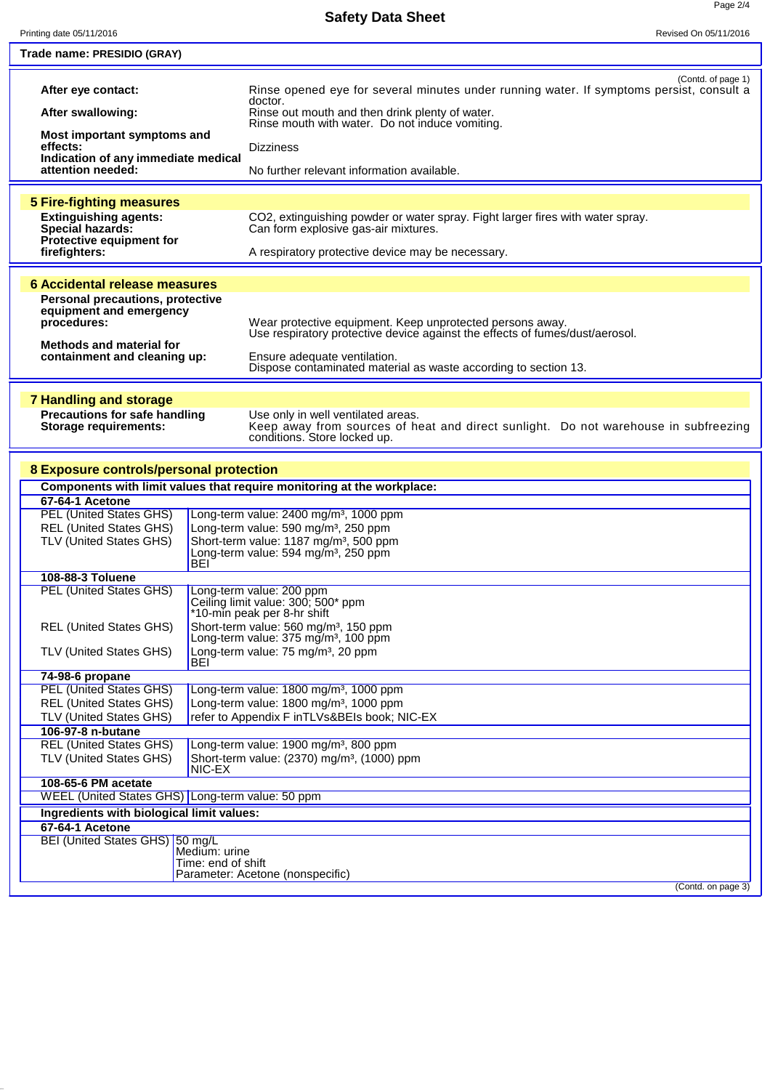**Safety Data Sheet**

╞

Ļ

| Printing date 05/11/2016                                               | Revised On 05/11/2016                                                                                                  |  |
|------------------------------------------------------------------------|------------------------------------------------------------------------------------------------------------------------|--|
| Trade name: PRESIDIO (GRAY)                                            |                                                                                                                        |  |
|                                                                        |                                                                                                                        |  |
|                                                                        | (Contd. of page 1)                                                                                                     |  |
| After eye contact:                                                     | Rinse opened eye for several minutes under running water. If symptoms persist, consult a<br>doctor.                    |  |
| After swallowing:                                                      | Rinse out mouth and then drink plenty of water.                                                                        |  |
| Most important symptoms and                                            | Rinse mouth with water. Do not induce vomiting.                                                                        |  |
| effects:                                                               | <b>Dizziness</b>                                                                                                       |  |
| Indication of any immediate medical                                    |                                                                                                                        |  |
| attention needed:                                                      | No further relevant information available.                                                                             |  |
|                                                                        |                                                                                                                        |  |
| <b>5 Fire-fighting measures</b>                                        |                                                                                                                        |  |
| <b>Extinguishing agents:</b><br><b>Special hazards:</b>                | CO2, extinguishing powder or water spray. Fight larger fires with water spray.<br>Can form explosive gas-air mixtures. |  |
| Protective equipment for                                               |                                                                                                                        |  |
| firefighters:                                                          | A respiratory protective device may be necessary.                                                                      |  |
|                                                                        |                                                                                                                        |  |
| <b>6 Accidental release measures</b>                                   |                                                                                                                        |  |
| <b>Personal precautions, protective</b>                                |                                                                                                                        |  |
| equipment and emergency<br>procedures:                                 | Wear protective equipment. Keep unprotected persons away.                                                              |  |
|                                                                        | Use respiratory protective device against the effects of fumes/dust/aerosol.                                           |  |
| <b>Methods and material for</b>                                        |                                                                                                                        |  |
| containment and cleaning up:                                           | Ensure adequate ventilation.<br>Dispose contaminated material as waste according to section 13.                        |  |
|                                                                        |                                                                                                                        |  |
| <b>7 Handling and storage</b>                                          |                                                                                                                        |  |
| <b>Precautions for safe handling</b>                                   | Use only in well ventilated areas.                                                                                     |  |
| <b>Storage requirements:</b>                                           | Keep away from sources of heat and direct sunlight. Do not warehouse in subfreezing                                    |  |
|                                                                        | conditions. Store locked up.                                                                                           |  |
|                                                                        |                                                                                                                        |  |
| 8 Exposure controls/personal protection                                |                                                                                                                        |  |
| Components with limit values that require monitoring at the workplace: |                                                                                                                        |  |
| 67-64-1 Acetone                                                        |                                                                                                                        |  |
| <b>PEL (United States GHS)</b>                                         | Long-term value: 2400 mg/m <sup>3</sup> , 1000 ppm                                                                     |  |
| <b>REL (United States GHS)</b><br>TLV (United States GHS)              | Long-term value: 590 mg/m <sup>3</sup> , 250 ppm                                                                       |  |
|                                                                        | Short-term value: 1187 mg/m <sup>3</sup> , 500 ppm<br>Long-term value: 594 mg/m <sup>3</sup> , 250 ppm                 |  |
| BEI                                                                    |                                                                                                                        |  |
| 108-88-3 Toluene                                                       |                                                                                                                        |  |
| <b>PEL (United States GHS)</b>                                         | Long-term value: 200 ppm<br>Ceiling limit value: 300; 500* ppm                                                         |  |
|                                                                        | *10-min peak per 8-hr shift                                                                                            |  |
| <b>REL (United States GHS)</b>                                         | Short-term value: 560 mg/m <sup>3</sup> , 150 ppm                                                                      |  |
|                                                                        | Long-term value: $375 \text{ mg/m}^3$ , 100 ppm                                                                        |  |
| <b>TLV (United States GHS)</b><br>BEI                                  | Long-term value: 75 mg/m <sup>3</sup> , 20 ppm                                                                         |  |
| 74-98-6 propane                                                        |                                                                                                                        |  |
| <b>PEL (United States GHS)</b>                                         | Long-term value: 1800 mg/m <sup>3</sup> , 1000 ppm                                                                     |  |
| <b>REL (United States GHS)</b>                                         | Long-term value: 1800 mg/m <sup>3</sup> , 1000 ppm                                                                     |  |
| TLV (United States GHS)                                                | refer to Appendix F inTLVs&BEIs book; NIC-EX                                                                           |  |
| 106-97-8 n-butane                                                      |                                                                                                                        |  |
| <b>REL (United States GHS)</b>                                         | Long-term value: 1900 mg/m <sup>3</sup> , 800 ppm                                                                      |  |
| TLV (United States GHS)<br>NIC-EX                                      | Short-term value: (2370) mg/m <sup>3</sup> , (1000) ppm                                                                |  |
| 108-65-6 PM acetate                                                    |                                                                                                                        |  |
| WEEL (United States GHS) Long-term value: 50 ppm                       |                                                                                                                        |  |
| Ingredients with biological limit values:                              |                                                                                                                        |  |
| 67-64-1 Acetone                                                        |                                                                                                                        |  |
| BEI (United States GHS) 50 mg/L                                        |                                                                                                                        |  |
| Medium: urine<br>Time: end of shift                                    |                                                                                                                        |  |
|                                                                        | Parameter: Acetone (nonspecific)                                                                                       |  |
|                                                                        | (Contd. on page 3)                                                                                                     |  |
|                                                                        |                                                                                                                        |  |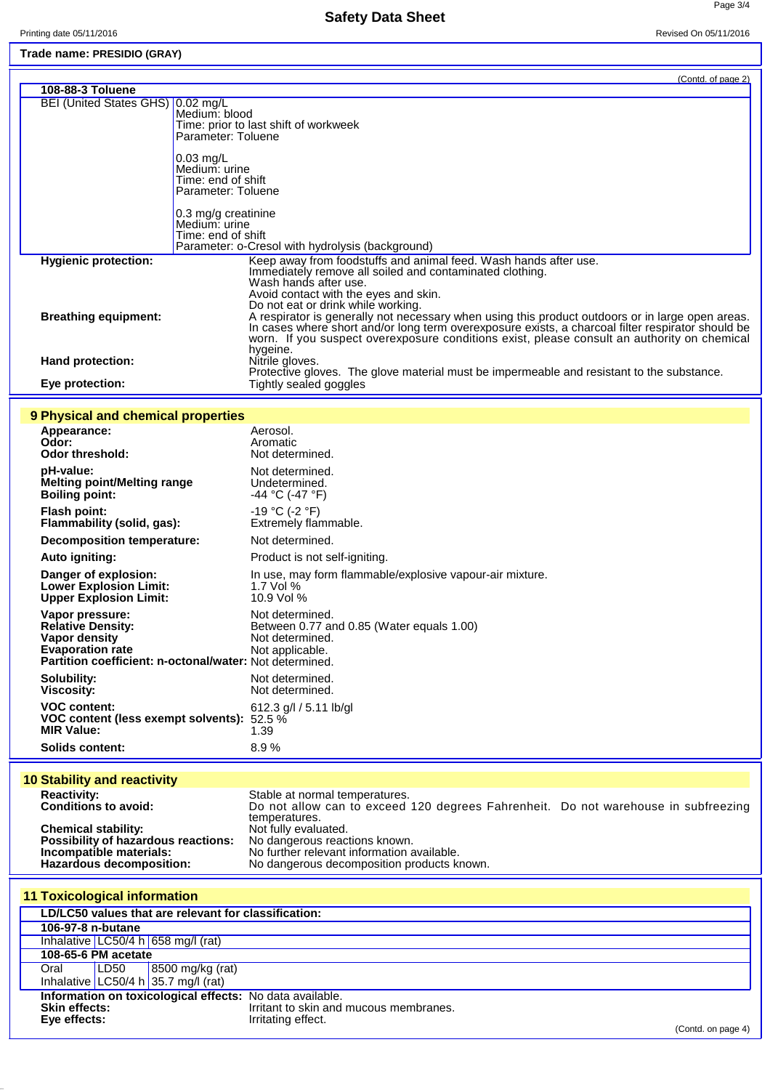**Safety Data Sheet**

Page 3/4

## **Trade name: PRESIDIO (GRAY)**

|                                   | (Contd. of page 2)                                                                                                                                                                                                                                                                                               |
|-----------------------------------|------------------------------------------------------------------------------------------------------------------------------------------------------------------------------------------------------------------------------------------------------------------------------------------------------------------|
| 108-88-3 Toluene                  |                                                                                                                                                                                                                                                                                                                  |
| BEI (United States GHS) 0.02 mg/L | Medium: blood<br>Time: prior to last shift of workweek<br>Parameter: Toluene                                                                                                                                                                                                                                     |
|                                   | $0.03$ mg/L<br>Medium: urine<br>Time: end of shift<br>Parameter: Toluene                                                                                                                                                                                                                                         |
|                                   | 0.3 mg/g creatinine<br>Medium: urine<br>Time: end of shift<br>Parameter: o-Cresol with hydrolysis (background)                                                                                                                                                                                                   |
| <b>Hygienic protection:</b>       | Keep away from foodstuffs and animal feed. Wash hands after use.<br>Immediately remove all soiled and contaminated clothing.<br>Wash hands after use.<br>Avoid contact with the eyes and skin.<br>Do not eat or drink while working.                                                                             |
| <b>Breathing equipment:</b>       | A respirator is generally not necessary when using this product outdoors or in large open areas.<br>In cases where short and/or long term overexposure exists, a charcoal filter respirator should be<br>worn. If you suspect overexposure conditions exist, please consult an authority on chemical<br>hygeine. |
| Hand protection:                  | Nitrile gloves.<br>Protective gloves. The glove material must be impermeable and resistant to the substance.                                                                                                                                                                                                     |
| Eye protection:                   | Tightly sealed goggles                                                                                                                                                                                                                                                                                           |

## **9 Physical and chemical properties**

| Appearance:<br>Odor:<br><b>Odor threshold:</b>                                                                                                     | Aerosol.<br>Aromatic<br>Not determined.                                                            |
|----------------------------------------------------------------------------------------------------------------------------------------------------|----------------------------------------------------------------------------------------------------|
| pH-value:                                                                                                                                          | Not determined.                                                                                    |
| Melting point/Melting range                                                                                                                        | Undetermined.                                                                                      |
| <b>Boiling point:</b>                                                                                                                              | $-44$ °C (-47 °F)                                                                                  |
| <b>Flash point:</b>                                                                                                                                | -19 °C (-2 °F)                                                                                     |
| Flammability (solid, gas):                                                                                                                         | Extremely flammable.                                                                               |
| <b>Decomposition temperature:</b>                                                                                                                  | Not determined.                                                                                    |
| <b>Auto igniting:</b>                                                                                                                              | Product is not self-igniting.                                                                      |
| Danger of explosion:                                                                                                                               | In use, may form flammable/explosive vapour-air mixture.                                           |
| <b>Lower Explosion Limit:</b>                                                                                                                      | 1.7 Vol $%$                                                                                        |
| <b>Upper Explosion Limit:</b>                                                                                                                      | 10.9 Vol %                                                                                         |
| Vapor pressure:<br><b>Relative Density:</b><br>Vapor density<br><b>Evaporation rate</b><br>Partition coefficient: n-octonal/water: Not determined. | Not determined.<br>Between 0.77 and 0.85 (Water equals 1.00)<br>Not determined.<br>Not applicable. |
| Solubility:                                                                                                                                        | Not determined.                                                                                    |
| <b>Viscosity:</b>                                                                                                                                  | Not determined.                                                                                    |
| <b>VOC content:</b>                                                                                                                                | 612.3 $g/l / 5.11$ lb/gl                                                                           |
| VOC content (less exempt solvents):                                                                                                                | 52.5 %                                                                                             |
| <b>MIR Value:</b>                                                                                                                                  | 1.39                                                                                               |
| Solids content:                                                                                                                                    | 8.9%                                                                                               |

## **10 Stability and reactivity**

| <b>Reactivity:</b>                  | Stable at normal temperatures.                                                     |  |
|-------------------------------------|------------------------------------------------------------------------------------|--|
| <b>Conditions to avoid:</b>         | Do not allow can to exceed 120 degrees Fahrenheit. Do not warehouse in subfreezing |  |
|                                     | temperatures.                                                                      |  |
| <b>Chemical stability:</b>          | Not fully evaluated.                                                               |  |
| Possibility of hazardous reactions: | No dangerous reactions known.                                                      |  |
| Incompatible materials:             | No further relevant information available.                                         |  |
| Hazardous decomposition:            | No dangerous decomposition products known.                                         |  |

| <b>11 Toxicological information</b>                      |      |                                        |                                        |                    |
|----------------------------------------------------------|------|----------------------------------------|----------------------------------------|--------------------|
| LD/LC50 values that are relevant for classification:     |      |                                        |                                        |                    |
| 106-97-8 n-butane                                        |      |                                        |                                        |                    |
|                                                          |      | Inhalative $LC50/4 h   658 mg/l$ (rat) |                                        |                    |
| 108-65-6 PM acetate                                      |      |                                        |                                        |                    |
| Oral                                                     | LD50 | 8500 mg/kg (rat)                       |                                        |                    |
|                                                          |      | Inhalative LC50/4 h 35.7 mg/l (rat)    |                                        |                    |
| Information on toxicological effects: No data available. |      |                                        |                                        |                    |
| <b>Skin effects:</b>                                     |      |                                        | Irritant to skin and mucous membranes. |                    |
| Eye effects:                                             |      |                                        | Irritating effect.                     | (Contd. on page 4) |